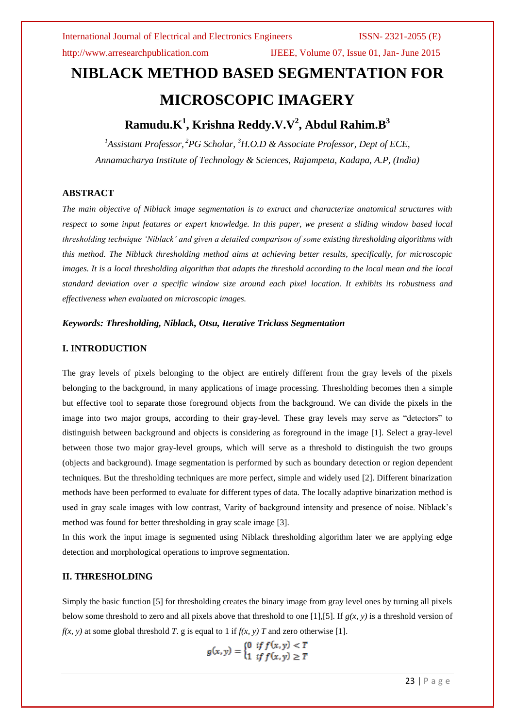http://www.arresearchpublication.com IJEEE, Volume 07, Issue 01, Jan- June 2015

# **NIBLACK METHOD BASED SEGMENTATION FOR MICROSCOPIC IMAGERY**

# **Ramudu.K<sup>1</sup> , Krishna Reddy.V.V<sup>2</sup> , Abdul Rahim.B<sup>3</sup>**

*<sup>1</sup>Assistant Professor, <sup>2</sup>PG Scholar, <sup>3</sup>H.O.D & Associate Professor, Dept of ECE, Annamacharya Institute of Technology & Sciences, Rajampeta, Kadapa, A.P, (India)*

### **ABSTRACT**

*The main objective of Niblack image segmentation is to extract and characterize anatomical structures with respect to some input features or expert knowledge. In this paper, we present a sliding window based local thresholding technique 'Niblack' and given a detailed comparison of some existing thresholding algorithms with this method. The Niblack thresholding method aims at achieving better results, specifically, for microscopic images. It is a local thresholding algorithm that adapts the threshold according to the local mean and the local standard deviation over a specific window size around each pixel location. It exhibits its robustness and effectiveness when evaluated on microscopic images.* 

#### *Keywords: Thresholding, Niblack, Otsu, Iterative Triclass Segmentation*

### **I. INTRODUCTION**

The gray levels of pixels belonging to the object are entirely different from the gray levels of the pixels belonging to the background, in many applications of image processing. Thresholding becomes then a simple but effective tool to separate those foreground objects from the background. We can divide the pixels in the image into two major groups, according to their gray-level. These gray levels may serve as "detectors" to distinguish between background and objects is considering as foreground in the image [1]. Select a gray-level between those two major gray-level groups, which will serve as a threshold to distinguish the two groups (objects and background). Image segmentation is performed by such as boundary detection or region dependent techniques. But the thresholding techniques are more perfect, simple and widely used [2]. Different binarization methods have been performed to evaluate for different types of data. The locally adaptive binarization method is used in gray scale images with low contrast, Varity of background intensity and presence of noise. Niblack's method was found for better thresholding in gray scale image [3].

In this work the input image is segmented using Niblack thresholding algorithm later we are applying edge detection and morphological operations to improve segmentation.

### **II. THRESHOLDING**

Simply the basic function [5] for thresholding creates the binary image from gray level ones by turning all pixels below some threshold to zero and all pixels above that threshold to one [1],[5]. If  $g(x, y)$  is a threshold version of  $f(x, y)$  at some global threshold *T*. g is equal to 1 if  $f(x, y)$  *T* and zero otherwise [1].

$$
g(x,y) = \begin{cases} 0 & \text{if } f(x,y) < T \\ 1 & \text{if } f(x,y) \geq T \end{cases}
$$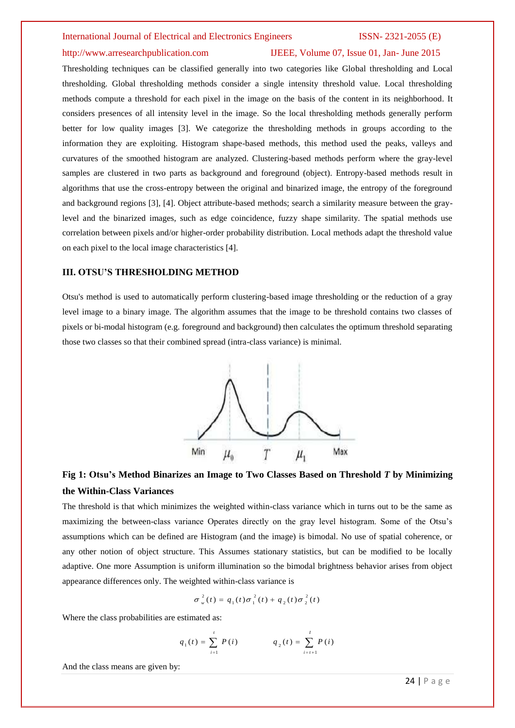#### http://www.arresearchpublication.com IJEEE, Volume 07, Issue 01, Jan- June 2015

Thresholding techniques can be classified generally into two categories like Global thresholding and Local thresholding. Global thresholding methods consider a single intensity threshold value. Local thresholding methods compute a threshold for each pixel in the image on the basis of the content in its neighborhood. It considers presences of all intensity level in the image. So the local thresholding methods generally perform better for low quality images [3]. We categorize the thresholding methods in groups according to the information they are exploiting. Histogram shape-based methods, this method used the peaks, valleys and curvatures of the smoothed histogram are analyzed. Clustering-based methods perform where the gray-level samples are clustered in two parts as background and foreground (object). Entropy-based methods result in algorithms that use the cross-entropy between the original and binarized image, the entropy of the foreground and background regions [3], [4]. Object attribute-based methods; search a similarity measure between the graylevel and the binarized images, such as edge coincidence, fuzzy shape similarity. The spatial methods use correlation between pixels and/or higher-order probability distribution. Local methods adapt the threshold value on each pixel to the local image characteristics [4].

### **III. OTSU'S THRESHOLDING METHOD**

Otsu's method is used to automatically perform clustering-based image thresholding or the reduction of a gray level image to a binary image. The algorithm assumes that the image to be threshold contains two classes of pixels or bi-modal histogram (e.g. foreground and background) then calculates the optimum threshold separating those two classes so that their combined spread (intra-class variance) is minimal.



## **Fig 1: Otsu's Method Binarizes an Image to Two Classes Based on Threshold** *T* **by Minimizing the Within-Class Variances**

The threshold is that which minimizes the weighted within-class variance which in turns out to be the same as maximizing the between-class variance Operates directly on the gray level histogram. Some of the Otsu's assumptions which can be defined are Histogram (and the image) is bimodal. No use of spatial coherence, or any other notion of object structure. This Assumes stationary statistics, but can be modified to be locally adaptive. One more Assumption is uniform illumination so the bimodal brightness behavior arises from object appearance differences only. The weighted within-class variance is

$$
\sigma_w^2(t) = q_1(t)\sigma_1^2(t) + q_2(t)\sigma_2^2(t)
$$

Where the class probabilities are estimated as:

$$
q_1(t) = \sum_{i=1}^{t} P(i) \qquad \qquad q_2(t) = \sum_{i=t+1}^{t} P(i)
$$

And the class means are given by: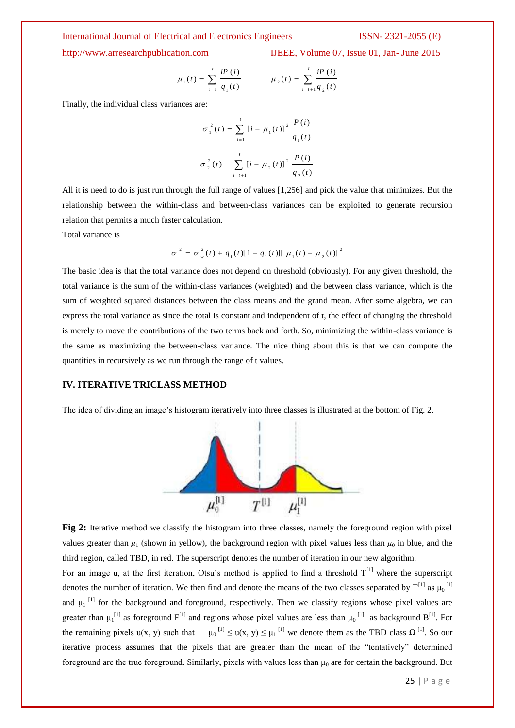http://www.arresearchpublication.com IJEEE, Volume 07, Issue 01, Jan- June 2015

$$
\mu_1(t) = \sum_{i=1}^t \frac{iP(i)}{q_1(t)} \qquad \mu_2(t) = \sum_{i=t+1}^t \frac{iP(i)}{q_2(t)}
$$

Finally, the individual class variances are:

$$
\sigma_1^2(t) = \sum_{i=1}^t \left[i - \mu_1(t)\right]^2 \frac{P(i)}{q_1(t)}
$$

$$
\sigma_2^2(t) = \sum_{i=t+1}^t \left[i - \mu_2(t)\right]^2 \frac{P(i)}{q_2(t)}
$$

All it is need to do is just run through the full range of values [1,256] and pick the value that minimizes. But the relationship between the within-class and between-class variances can be exploited to generate recursion relation that permits a much faster calculation.

Total variance is

$$
\sigma^{2} = \sigma_{w}^{2}(t) + q_{1}(t)[1 - q_{1}(t)][\mu_{1}(t) - \mu_{2}(t)]^{2}
$$

The basic idea is that the total variance does not depend on threshold (obviously). For any given threshold, the total variance is the sum of the within-class variances (weighted) and the between class variance, which is the sum of weighted squared distances between the class means and the grand mean. After some algebra, we can express the total variance as since the total is constant and independent of t, the effect of changing the threshold is merely to move the contributions of the two terms back and forth. So, minimizing the within-class variance is the same as maximizing the between-class variance. The nice thing about this is that we can compute the quantities in recursively as we run through the range of t values.

### **IV. ITERATIVE TRICLASS METHOD**

The idea of dividing an image's histogram iteratively into three classes is illustrated at the bottom of Fig. 2.



**Fig 2:** Iterative method we classify the histogram into three classes, namely the foreground region with pixel values greater than  $\mu_1$  (shown in yellow), the background region with pixel values less than  $\mu_0$  in blue, and the third region, called TBD, in red. The superscript denotes the number of iteration in our new algorithm.

For an image u, at the first iteration, Otsu's method is applied to find a threshold  $T^{[1]}$  where the superscript denotes the number of iteration. We then find and denote the means of the two classes separated by  $T^{[1]}$  as  $\mu_0$ <sup>[1]</sup> and  $\mu_1$ <sup>[1]</sup> for the background and foreground, respectively. Then we classify regions whose pixel values are greater than  $\mu_1^{[1]}$  as foreground  $F^{[1]}$  and regions whose pixel values are less than  $\mu_0^{[1]}$  as background  $B^{[1]}$ . For the remaining pixels  $u(x, y)$  such that  $\mu_0$ <sup>[1]</sup>  $\leq u(x, y) \leq \mu_1$ <sup>[1]</sup> we denote them as the TBD class  $\Omega$ <sup>[1]</sup>. So our iterative process assumes that the pixels that are greater than the mean of the "tentatively" determined foreground are the true foreground. Similarly, pixels with values less than  $\mu_0$  are for certain the background. But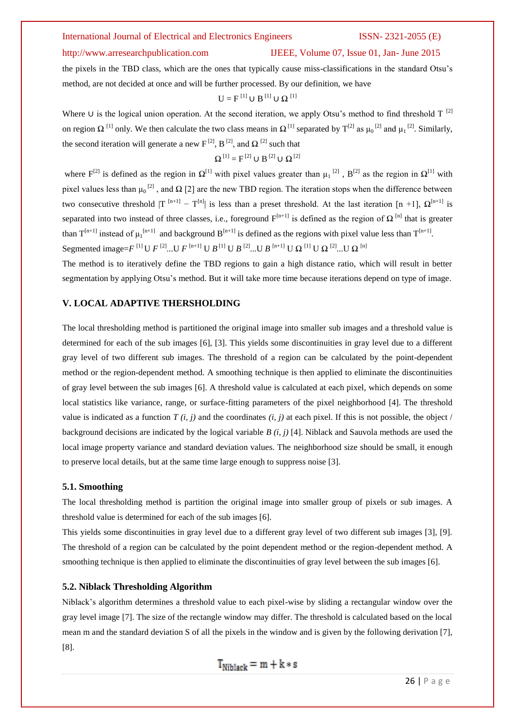### http://www.arresearchpublication.com IJEEE, Volume 07, Issue 01, Jan- June 2015

the pixels in the TBD class, which are the ones that typically cause miss-classifications in the standard Otsu's method, are not decided at once and will be further processed. By our definition, we have

$$
U = F^{[1]} \cup B^{[1]} \cup \Omega^{[1]}
$$

Where ∪ is the logical union operation. At the second iteration, we apply Otsu's method to find threshold  $T^{[2]}$ on region  $\Omega$  <sup>[1]</sup> only. We then calculate the two class means in  $\Omega$ <sup>[1]</sup> separated by T<sup>[2]</sup> as  $\mu_0$ <sup>[2]</sup> and  $\mu_1$ <sup>[2]</sup>. Similarly, the second iteration will generate a new  $F^{[2]}$ ,  $B^{[2]}$ , and  $\Omega^{[2]}$  such that

$$
\Omega^{[1]} = F^{[2]} \cup B^{[2]} \cup \Omega^{[2]}
$$

where  $F^{[2]}$  is defined as the region in  $\Omega^{[1]}$  with pixel values greater than  $\mu_1^{[2]}$ ,  $B^{[2]}$  as the region in  $\Omega^{[1]}$  with pixel values less than  $\mu_0$ <sup>[2]</sup>, and  $\Omega$  [2] are the new TBD region. The iteration stops when the difference between two consecutive threshold  $|T^{[n+1]} - T^{[n]}|$  is less than a preset threshold. At the last iteration  $[n+1]$ ,  $\Omega^{[n+1]}$  is separated into two instead of three classes, i.e., foreground  $F^{[n+1]}$  is defined as the region of  $\Omega^{[n]}$  that is greater than  $T^{[n+1]}$  instead of  $\mu_1^{[n+1]}$  and background  $B^{[n+1]}$  is defined as the regions with pixel value less than  $T^{[n+1]}$ . Segmented image= $F^{[1]}$ U  $F^{[2]}$ ...U  $F^{[n+1]}$  U  $B^{[1]}$  U  $B^{[2]}$ ...U  $B^{[n+1]}$  U  $\Omega^{[1]}$  U  $\Omega^{[2]}$ ...U  $\Omega^{[n]}$ 

The method is to iteratively define the TBD regions to gain a high distance ratio, which will result in better segmentation by applying Otsu's method. But it will take more time because iterations depend on type of image.

#### **V. LOCAL ADAPTIVE THERSHOLDING**

The local thresholding method is partitioned the original image into smaller sub images and a threshold value is determined for each of the sub images [6], [3]. This yields some discontinuities in gray level due to a different gray level of two different sub images. The threshold of a region can be calculated by the point-dependent method or the region-dependent method. A smoothing technique is then applied to eliminate the discontinuities of gray level between the sub images [6]. A threshold value is calculated at each pixel, which depends on some local statistics like variance, range, or surface-fitting parameters of the pixel neighborhood [4]. The threshold value is indicated as a function  $T(i, j)$  and the coordinates  $(i, j)$  at each pixel. If this is not possible, the object / background decisions are indicated by the logical variable *B (i, j)* [4]. Niblack and Sauvola methods are used the local image property variance and standard deviation values. The neighborhood size should be small, it enough to preserve local details, but at the same time large enough to suppress noise [3].

### **5.1. Smoothing**

The local thresholding method is partition the original image into smaller group of pixels or sub images. A threshold value is determined for each of the sub images [6].

This yields some discontinuities in gray level due to a different gray level of two different sub images [3], [9]. The threshold of a region can be calculated by the point dependent method or the region-dependent method. A smoothing technique is then applied to eliminate the discontinuities of gray level between the sub images [6].

#### **5.2. Niblack Thresholding Algorithm**

Niblack's algorithm determines a threshold value to each pixel-wise by sliding a rectangular window over the gray level image [7]. The size of the rectangle window may differ. The threshold is calculated based on the local mean m and the standard deviation S of all the pixels in the window and is given by the following derivation [7], [8].

 $T_{\text{Nihlack}} = m + k * s$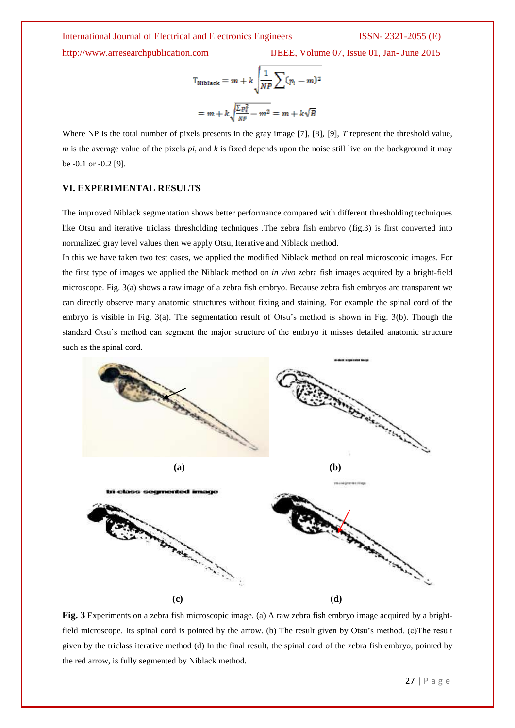http://www.arresearchpublication.com IJEEE, Volume 07, Issue 01, Jan- June 2015

$$
T_{\text{Niblack}} = m + k \sqrt{\frac{1}{NP} \sum (p_i - m)^2}
$$

$$
= m + k \sqrt{\frac{\sum p_i^2}{NP} - m^2} = m + k \sqrt{B}
$$

Where NP is the total number of pixels presents in the gray image [7], [8], [9], *T* represent the threshold value, *m* is the average value of the pixels *pi*, and *k* is fixed depends upon the noise still live on the background it may be -0.1 or -0.2 [9].

#### **VI. EXPERIMENTAL RESULTS**

The improved Niblack segmentation shows better performance compared with different thresholding techniques like Otsu and iterative triclass thresholding techniques .The zebra fish embryo (fig.3) is first converted into normalized gray level values then we apply Otsu, Iterative and Niblack method.

In this we have taken two test cases, we applied the modified Niblack method on real microscopic images. For the first type of images we applied the Niblack method on *in vivo* zebra fish images acquired by a bright-field microscope. Fig. 3(a) shows a raw image of a zebra fish embryo. Because zebra fish embryos are transparent we can directly observe many anatomic structures without fixing and staining. For example the spinal cord of the embryo is visible in Fig. 3(a). The segmentation result of Otsu's method is shown in Fig. 3(b). Though the standard Otsu's method can segment the major structure of the embryo it misses detailed anatomic structure such as the spinal cord.



**Fig. 3** Experiments on a zebra fish microscopic image. (a) A raw zebra fish embryo image acquired by a brightfield microscope. Its spinal cord is pointed by the arrow. (b) The result given by Otsu's method. (c)The result given by the triclass iterative method (d) In the final result, the spinal cord of the zebra fish embryo, pointed by the red arrow, is fully segmented by Niblack method.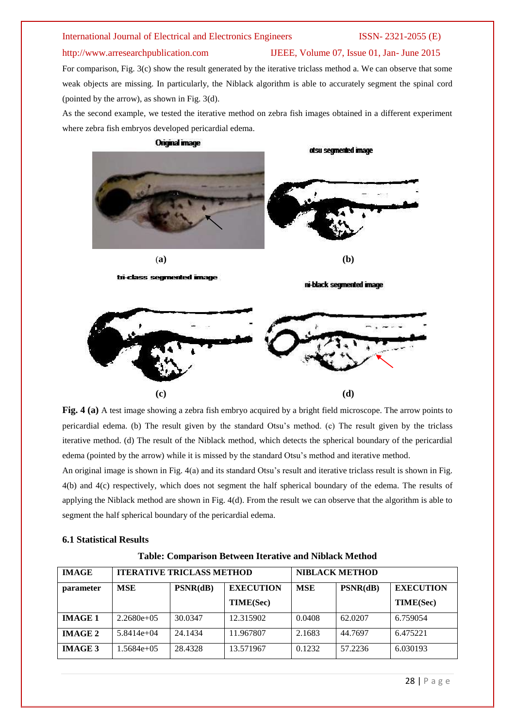### http://www.arresearchpublication.com IJEEE, Volume 07, Issue 01, Jan- June 2015

For comparison, Fig. 3(c) show the result generated by the iterative triclass method a. We can observe that some weak objects are missing. In particularly, the Niblack algorithm is able to accurately segment the spinal cord (pointed by the arrow), as shown in Fig. 3(d).

As the second example, we tested the iterative method on zebra fish images obtained in a different experiment where zebra fish embryos developed pericardial edema.



**Fig. 4 (a)** A test image showing a zebra fish embryo acquired by a bright field microscope. The arrow points to pericardial edema. (b) The result given by the standard Otsu's method. (c) The result given by the triclass iterative method. (d) The result of the Niblack method, which detects the spherical boundary of the pericardial edema (pointed by the arrow) while it is missed by the standard Otsu's method and iterative method.

An original image is shown in Fig. 4(a) and its standard Otsu's result and iterative triclass result is shown in Fig. 4(b) and 4(c) respectively, which does not segment the half spherical boundary of the edema. The results of applying the Niblack method are shown in Fig. 4(d). From the result we can observe that the algorithm is able to segment the half spherical boundary of the pericardial edema.

### **6.1 Statistical Results**

| Table: Comparison Between Iterative and Niblack Method |  |  |  |  |  |  |  |
|--------------------------------------------------------|--|--|--|--|--|--|--|
|--------------------------------------------------------|--|--|--|--|--|--|--|

| <b>IMAGE</b>   | <b>ITERATIVE TRICLASS METHOD</b> |          |                  | <b>NIBLACK METHOD</b> |          |                  |  |
|----------------|----------------------------------|----------|------------------|-----------------------|----------|------------------|--|
| parameter      | <b>MSE</b>                       | PSNR(dB) | <b>EXECUTION</b> | <b>MSE</b>            | PSNR(dB) | <b>EXECUTION</b> |  |
|                |                                  |          | <b>TIME(Sec)</b> |                       |          | <b>TIME(Sec)</b> |  |
| <b>IMAGE 1</b> | $2.2680e+0.5$                    | 30.0347  | 12.315902        | 0.0408                | 62.0207  | 6.759054         |  |
| <b>IMAGE 2</b> | $5.8414e+04$                     | 24.1434  | 11.967807        | 2.1683                | 44.7697  | 6.475221         |  |
| <b>IMAGE 3</b> | $.5684e+05$                      | 28.4328  | 13.571967        | 0.1232                | 57.2236  | 6.030193         |  |